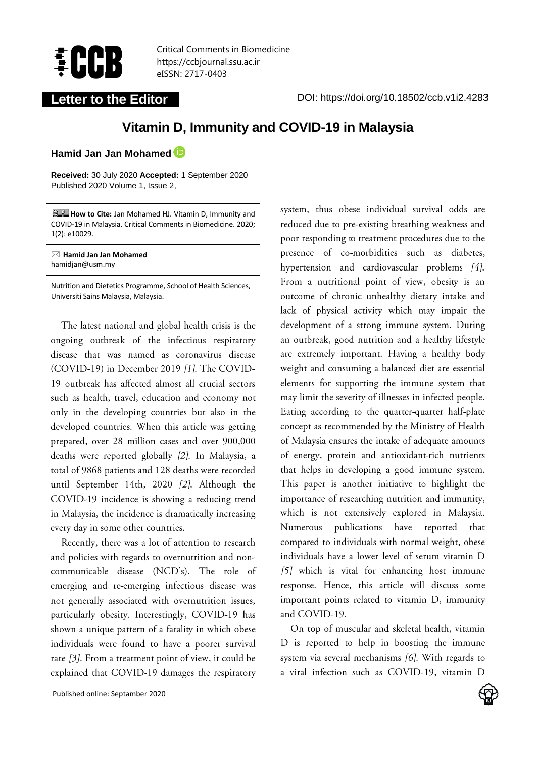

Critical Comments in Biomedicine https://ccbjournal.ssu.ac.ir eISSN: 2717-0403

Letter to the Editor **DOI:** https://doi.org/10.18502/ccb.v1i2.4283

# **Vitamin D, Immunity and COVID-19 in Malaysia**

**Hamid Jan Jan Mohamed**

**Received:** 30 July 2020 **Accepted:** 1 September 2020 Published 2020 Volume 1, Issue 2,

**How to Cite:** Jan Mohamed HJ. Vitamin D, Immunity and COVID-19 in Malaysia. Critical Comments in Biomedicine. 2020; 1(2): e10029.

 **Hamid Jan Jan Mohamed** hamidjan@usm.my

Nutrition and Dietetics Programme, School of Health Sciences, Universiti Sains Malaysia, Malaysia.

The latest national and global health crisis is the ongoing outbreak of the infectious respiratory disease that was named as coronavirus disease (COVID-19) in December 2019 [1]. The COVID-19 outbreak has affected almost all crucial sectors such as health, travel, education and economy not only in the developing countries but also in the developed countries. When this article was getting prepared, over 28 million cases and over 900,000 deaths were reported globally [2]. In Malaysia, a total of 9868 patients and 128 deaths were recorded until September 14th, 2020 [2]. Although the COVID-19 incidence is showing a reducing trend in Malaysia, the incidence is dramatically increasing every day in some other countries.

Recently, there was a lot of attention to research and policies with regards to overnutrition and noncommunicable disease (NCD's). The role of emerging and re-emerging infectious disease was not generally associated with overnutrition issues, particularly obesity. Interestingly, COVID-19 has shown a unique pattern of a fatality in which obese individuals were found to have a poorer survival rate [3]. From a treatment point of view, it could be explained that COVID-19 damages the respiratory

system, thus obese individual survival odds are reduced due to pre-existing breathing weakness and poor responding to treatment procedures due to the presence of co-morbidities such as diabetes, hypertension and cardiovascular problems [4]. From a nutritional point of view, obesity is an outcome of chronic unhealthy dietary intake and lack of physical activity which may impair the development of a strong immune system. During an outbreak, good nutrition and a healthy lifestyle are extremely important. Having a healthy body weight and consuming a balanced diet are essential elements for supporting the immune system that may limit the severity of illnesses in infected people. Eating according to the quarter-quarter half-plate concept as recommended by the Ministry of Health of Malaysia ensures the intake of adequate amounts of energy, protein and antioxidant-rich nutrients that helps in developing a good immune system. This paper is another initiative to highlight the importance of researching nutrition and immunity, which is not extensively explored in Malaysia. Numerous publications have reported that compared to individuals with normal weight, obese individuals have a lower level of serum vitamin D [5] which is vital for enhancing host immune response. Hence, this article will discuss some important points related to vitamin D, immunity and COVID-19.

On top of muscular and skeletal health, vitamin D is reported to help in boosting the immune system via several mechanisms [6]. With regards to a viral infection such as COVID-19, vitamin D

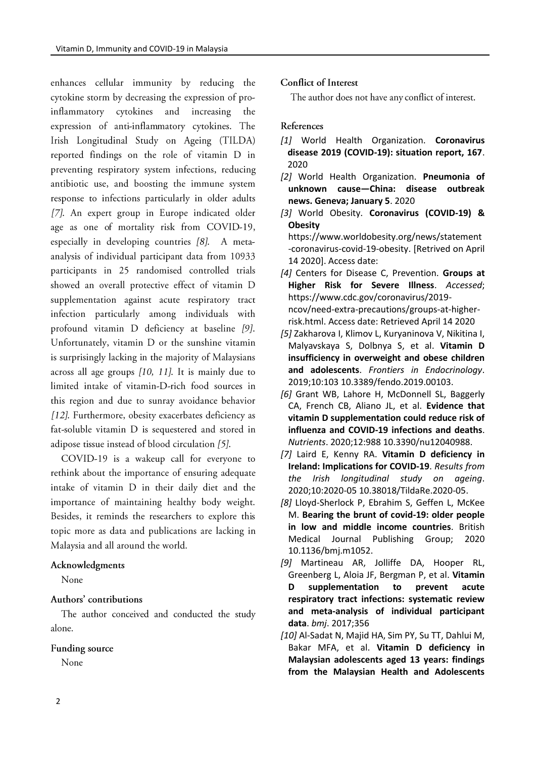enhances cellular immunity by reducing the cytokine storm by decreasing the expression of proand increasing inflammatory cytokines the expression of anti-inflammatory cytokines. The Irish Longitudinal Study on Ageing (TILDA) reported findings on the role of vitamin D in preventing respiratory system infections, reducing antibiotic use, and boosting the immune system response to infections particularly in older adults [7]. An expert group in Europe indicated older age as one of mortality risk from COVID-19, especially in developing countries [8]. A metaanalysis of individual participant data from 10933 participants in 25 randomised controlled trials showed an overall protective effect of vitamin D supplementation against acute respiratory tract infection particularly among individuals with profound vitamin D deficiency at baseline [9]. Unfortunately, vitamin D or the sunshine vitamin is surprisingly lacking in the majority of Malaysians across all age groups  $[10, 11]$ . It is mainly due to limited intake of vitamin-D-rich food sources in this region and due to sunray avoidance behavior [12]. Furthermore, obesity exacerbates deficiency as fat-soluble vitamin D is sequestered and stored in adipose tissue instead of blood circulation [5].

COVID-19 is a wakeup call for everyone to rethink about the importance of ensuring adequate intake of vitamin D in their daily diet and the importance of maintaining healthy body weight. Besides, it reminds the researchers to explore this topic more as data and publications are lacking in Malaysia and all around the world.

#### Acknowledgments

None

## Authors' contributions

The author conceived and conducted the study alone.

## Funding source

None

#### Conflict of Interest

The author does not have any conflict of interest.

## References

- *[1]* World Health Organization. **Coronavirus disease 2019 (COVID-19): situation report, 167**. 2020
- *[2]* World Health Organization. **Pneumonia of unknown cause—China: disease outbreak news. Geneva; January 5**. 2020
- *[3]* World Obesity. **Coronavirus (COVID-19) & Obesity**

https:/[/www.worldobesity.org/news/statement](http://www.worldobesity.org/news/statement-coronavirus-covid-19-obesity) [-coronavirus-covid-19-obesity.](http://www.worldobesity.org/news/statement-coronavirus-covid-19-obesity) [Retrived on April 14 2020]. Access date:

- *[4]* Centers for Disease C, Prevention. **Groups at Higher Risk for Severe Illness**. *Accessed*; https:/[/www.cdc.gov/coronavirus/2019](http://www.cdc.gov/coronavirus/2019-ncov/need-extra-precautions/groups-at-higher-risk.html) [ncov/need-extra-precautions/groups-at-higher](http://www.cdc.gov/coronavirus/2019-ncov/need-extra-precautions/groups-at-higher-risk.html)[risk.html.](http://www.cdc.gov/coronavirus/2019-ncov/need-extra-precautions/groups-at-higher-risk.html) Access date: Retrieved April 14 2020
- *[5]* Zakharova I, Klimov L, Kuryaninova V, Nikitina I, Malyavskaya S, Dolbnya S, et al. **Vitamin D insufficiency in overweight and obese children and adolescents**. *Frontiers in Endocrinology*. 2019;10:103 10.3389/fendo.2019.00103.
- *[6]* Grant WB, Lahore H, McDonnell SL, Baggerly CA, French CB, Aliano JL, et al. **Evidence that vitamin D supplementation could reduce risk of influenza and COVID-19 infections and deaths**. *Nutrients*. 2020;12:988 10.3390/nu12040988.
- *[7]* Laird E, Kenny RA. **Vitamin D deficiency in Ireland: Implications for COVID‐19**. *Results from the Irish longitudinal study on ageing*. 2020;10:2020-05 10.38018/TildaRe.2020-05.
- *[8]* Lloyd-Sherlock P, Ebrahim S, Geffen L, McKee M. **Bearing the brunt of covid-19: older people in low and middle income countries**. British Medical Journal Publishing Group; 2020 10.1136/bmj.m1052.
- *[9]* Martineau AR, Jolliffe DA, Hooper RL, Greenberg L, Aloia JF, Bergman P, et al. **Vitamin D supplementation to prevent acute respiratory tract infections: systematic review and meta-analysis of individual participant data**. *bmj*. 2017;356
- *[10]* Al-Sadat N, Majid HA, Sim PY, Su TT, Dahlui M, Bakar MFA, et al. **Vitamin D deficiency in Malaysian adolescents aged 13 years: findings from the Malaysian Health and Adolescents**